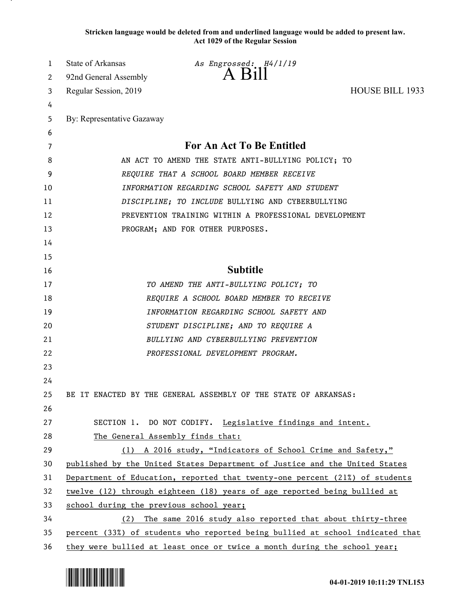**Stricken language would be deleted from and underlined language would be added to present law. Act 1029 of the Regular Session**

| 1  | State of Arkansas                       | As Engrossed: H4/1/19                                                         |                 |
|----|-----------------------------------------|-------------------------------------------------------------------------------|-----------------|
| 2  | 92nd General Assembly                   | $A$ $B1II$                                                                    |                 |
| 3  | Regular Session, 2019                   |                                                                               | HOUSE BILL 1933 |
| 4  |                                         |                                                                               |                 |
| 5  | By: Representative Gazaway              |                                                                               |                 |
| 6  |                                         |                                                                               |                 |
| 7  |                                         | For An Act To Be Entitled                                                     |                 |
| 8  |                                         | AN ACT TO AMEND THE STATE ANTI-BULLYING POLICY; TO                            |                 |
| 9  |                                         | REQUIRE THAT A SCHOOL BOARD MEMBER RECEIVE                                    |                 |
| 10 |                                         | INFORMATION REGARDING SCHOOL SAFETY AND STUDENT                               |                 |
| 11 |                                         | DISCIPLINE; TO INCLUDE BULLYING AND CYBERBULLYING                             |                 |
| 12 |                                         | PREVENTION TRAINING WITHIN A PROFESSIONAL DEVELOPMENT                         |                 |
| 13 |                                         | PROGRAM; AND FOR OTHER PURPOSES.                                              |                 |
| 14 |                                         |                                                                               |                 |
| 15 |                                         |                                                                               |                 |
| 16 |                                         | <b>Subtitle</b>                                                               |                 |
| 17 |                                         | TO AMEND THE ANTI-BULLYING POLICY; TO                                         |                 |
| 18 |                                         | REQUIRE A SCHOOL BOARD MEMBER TO RECEIVE                                      |                 |
| 19 |                                         | INFORMATION REGARDING SCHOOL SAFETY AND                                       |                 |
| 20 |                                         | STUDENT DISCIPLINE; AND TO REQUIRE A                                          |                 |
| 21 |                                         | BULLYING AND CYBERBULLYING PREVENTION                                         |                 |
| 22 |                                         | PROFESSIONAL DEVELOPMENT PROGRAM.                                             |                 |
| 23 |                                         |                                                                               |                 |
| 24 |                                         |                                                                               |                 |
| 25 |                                         | BE IT ENACTED BY THE GENERAL ASSEMBLY OF THE STATE OF ARKANSAS:               |                 |
| 26 |                                         |                                                                               |                 |
| 27 |                                         | SECTION 1. DO NOT CODIFY. Legislative findings and intent.                    |                 |
| 28 |                                         | The General Assembly finds that:                                              |                 |
| 29 |                                         | (1) A 2016 study, "Indicators of School Crime and Safety,"                    |                 |
| 30 |                                         | published by the United States Department of Justice and the United States    |                 |
| 31 |                                         | Department of Education, reported that twenty-one percent (21%) of students   |                 |
| 32 |                                         | twelve (12) through eighteen (18) years of age reported being bullied at      |                 |
| 33 | school during the previous school year; |                                                                               |                 |
| 34 |                                         | (2) The same 2016 study also reported that about thirty-three                 |                 |
| 35 |                                         | percent (33%) of students who reported being bullied at school indicated that |                 |
| 36 |                                         | they were bullied at least once or twice a month during the school year;      |                 |

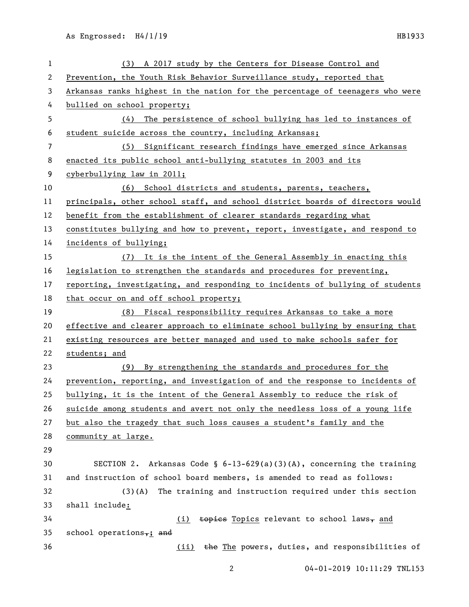| $\mathbf{1}$ | A 2017 study by the Centers for Disease Control and<br>(3)                    |
|--------------|-------------------------------------------------------------------------------|
| 2            | Prevention, the Youth Risk Behavior Surveillance study, reported that         |
| 3            | Arkansas ranks highest in the nation for the percentage of teenagers who were |
| 4            | bullied on school property;                                                   |
| 5            | The persistence of school bullying has led to instances of<br>(4)             |
| 6            | student suicide across the country, including Arkansas;                       |
| 7            | (5) Significant research findings have emerged since Arkansas                 |
| 8            | enacted its public school anti-bullying statutes in 2003 and its              |
| 9            | cyberbullying law in 2011;                                                    |
| 10           | (6) School districts and students, parents, teachers,                         |
| 11           | principals, other school staff, and school district boards of directors would |
| 12           | benefit from the establishment of clearer standards regarding what            |
| 13           | constitutes bullying and how to prevent, report, investigate, and respond to  |
| 14           | incidents of bullying;                                                        |
| 15           | (7) It is the intent of the General Assembly in enacting this                 |
| 16           | legislation to strengthen the standards and procedures for preventing,        |
| 17           | reporting, investigating, and responding to incidents of bullying of students |
| 18           | that occur on and off school property;                                        |
| 19           | (8) Fiscal responsibility requires Arkansas to take a more                    |
| 20           | effective and clearer approach to eliminate school bullying by ensuring that  |
| 21           | existing resources are better managed and used to make schools safer for      |
| 22           | students; and                                                                 |
| 23           | By strengthening the standards and procedures for the<br>(9)                  |
| 24           | prevention, reporting, and investigation of and the response to incidents of  |
| 25           | bullying, it is the intent of the General Assembly to reduce the risk of      |
| 26           | suicide among students and avert not only the needless loss of a young life   |
| 27           | but also the tragedy that such loss causes a student's family and the         |
| 28           | community at large.                                                           |
| 29           |                                                                               |
| 30           | SECTION 2. Arkansas Code § $6-13-629(a)(3)(A)$ , concerning the training      |
| 31           | and instruction of school board members, is amended to read as follows:       |
| 32           | The training and instruction required under this section<br>$(3)$ (A)         |
| 33           | shall include:                                                                |
| 34           | topics Topics relevant to school laws, and<br>(i)                             |
| 35           | school operations, $\frac{1}{2}$ and                                          |
| 36           | the The powers, duties, and responsibilities of<br>(ii)                       |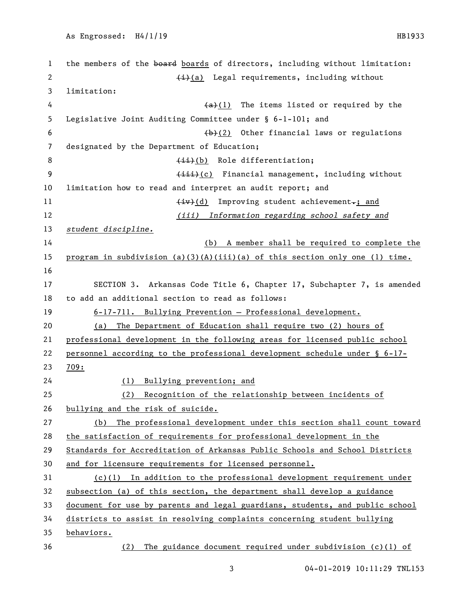| $\mathbf{1}$ | the members of the board boards of directors, including without limitation:   |
|--------------|-------------------------------------------------------------------------------|
| 2            | $(i)$ Legal requirements, including without                                   |
| 3            | limitation:                                                                   |
| 4            | $(a)+(1)$ The items listed or required by the                                 |
| 5            | Legislative Joint Auditing Committee under § 6-1-101; and                     |
| 6            | $(b)$ (2) Other financial laws or regulations                                 |
| 7            | designated by the Department of Education;                                    |
| 8            | $(ii)(b)$ Role differentiation;                                               |
| 9            | (iii)(c) Financial management, including without                              |
| 10           | limitation how to read and interpret an audit report; and                     |
| 11           | $\overline{(+ \overline{v})$ Improving student achievement <sub>r</sub> ; and |
| 12           | (iii) Information regarding school safety and                                 |
| 13           | student discipline.                                                           |
| 14           | (b) A member shall be required to complete the                                |
| 15           | program in subdivision $(a)(3)(A)(iii)(a)$ of this section only one (1) time. |
| 16           |                                                                               |
| 17           | SECTION 3. Arkansas Code Title 6, Chapter 17, Subchapter 7, is amended        |
| 18           | to add an additional section to read as follows:                              |
| 19           | 6-17-711. Bullying Prevention - Professional development.                     |
| 20           | (a) The Department of Education shall require two (2) hours of                |
| 21           | professional development in the following areas for licensed public school    |
| 22           | personnel according to the professional development schedule under § 6-17-    |
| 23           | 709:                                                                          |
| 24           | Bullying prevention; and<br>(1)                                               |
| 25           | Recognition of the relationship between incidents of<br>(2)                   |
| 26           | bullying and the risk of suicide.                                             |
| 27           | The professional development under this section shall count toward<br>(b)     |
| 28           | the satisfaction of requirements for professional development in the          |
| 29           | Standards for Accreditation of Arkansas Public Schools and School Districts   |
| 30           | and for licensure requirements for licensed personnel.                        |
| 31           | $(c)(1)$ In addition to the professional development requirement under        |
| 32           | subsection (a) of this section, the department shall develop a guidance       |
| 33           | document for use by parents and legal guardians, students, and public school  |
| 34           | districts to assist in resolving complaints concerning student bullying       |
| 35           | behaviors.                                                                    |
| 36           | The guidance document required under subdivision $(c)(1)$ of<br>(2)           |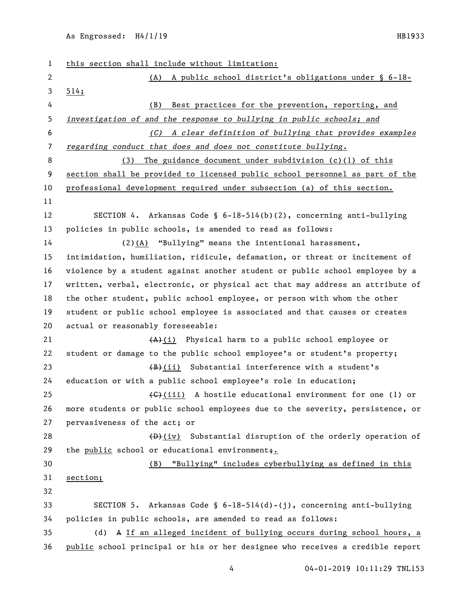As Engrossed: H4/1/19 HB1933

| $\mathbf{1}$   | this section shall include without limitation:                                |  |  |
|----------------|-------------------------------------------------------------------------------|--|--|
| $\mathbf{2}$   | (A) A public school district's obligations under $\S$ 6-18-                   |  |  |
| 3              | 514;                                                                          |  |  |
| 4              | Best practices for the prevention, reporting, and<br>(B)                      |  |  |
| 5              | investigation of and the response to bullying in public schools; and          |  |  |
| 6              | (C) A clear definition of bullying that provides examples                     |  |  |
| $\overline{7}$ | regarding conduct that does and does not constitute bullying.                 |  |  |
| 8              | The guidance document under subdivision $(c)(1)$ of this<br>(3)               |  |  |
| 9              | section shall be provided to licensed public school personnel as part of the  |  |  |
| 10             | professional development required under subsection (a) of this section.       |  |  |
| 11             |                                                                               |  |  |
| 12             | SECTION 4. Arkansas Code § $6-18-514(b)(2)$ , concerning anti-bullying        |  |  |
| 13             | policies in public schools, is amended to read as follows:                    |  |  |
| 14             | (2)(A) "Bullying" means the intentional harassment,                           |  |  |
| 15             | intimidation, humiliation, ridicule, defamation, or threat or incitement of   |  |  |
| 16             | violence by a student against another student or public school employee by a  |  |  |
| 17             | written, verbal, electronic, or physical act that may address an attribute of |  |  |
| 18             | the other student, public school employee, or person with whom the other      |  |  |
| 19             | student or public school employee is associated and that causes or creates    |  |  |
| 20             | actual or reasonably foreseeable:                                             |  |  |
| 21             | $(A)$ (i) Physical harm to a public school employee or                        |  |  |
| 22             | student or damage to the public school employee's or student's property;      |  |  |
| 23             | $(B)$ (ii) Substantial interference with a student's                          |  |  |
| 24             | education or with a public school employee's role in education;               |  |  |
| 25             | (G)(iii) A hostile educational environment for one (1) or                     |  |  |
| 26             | more students or public school employees due to the severity, persistence, or |  |  |
| 27             | pervasiveness of the act; or                                                  |  |  |
| 28             | $(D)$ (iv) Substantial disruption of the orderly operation of                 |  |  |
| 29             | the public school or educational environment,.                                |  |  |
| 30             | "Bullying" includes cyberbullying as defined in this<br>(B)                   |  |  |
| 31             | section;                                                                      |  |  |
| 32             |                                                                               |  |  |
| 33             | SECTION 5. Arkansas Code § $6-18-514(d)-(j)$ , concerning anti-bullying       |  |  |
| 34             | policies in public schools, are amended to read as follows:                   |  |  |
| 35             | A If an alleged incident of bullying occurs during school hours, a<br>(d)     |  |  |
| 36             | public school principal or his or her designee who receives a credible report |  |  |
|                | 04-01-2019 10:11:29 TNL153<br>4                                               |  |  |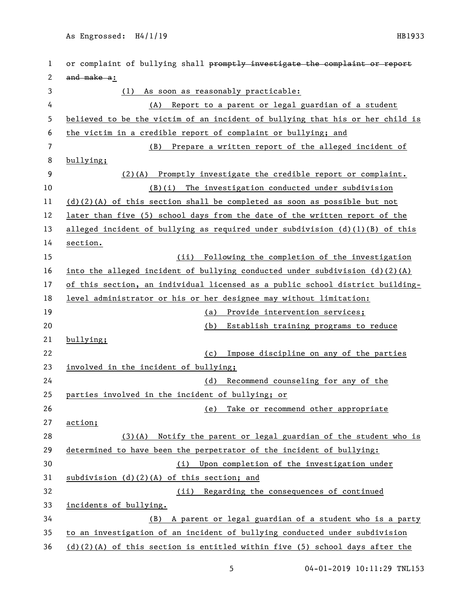1 or complaint of bullying shall promptly investigate the complaint or report 2 and make a: (1) As soon as reasonably practicable: (A) Report to a parent or legal guardian of a student believed to be the victim of an incident of bullying that his or her child is the victim in a credible report of complaint or bullying; and (B) Prepare a written report of the alleged incident of bullying; (2)(A) Promptly investigate the credible report or complaint. (B)(i) The investigation conducted under subdivision 11 (d)(2)(A) of this section shall be completed as soon as possible but not later than five (5) school days from the date of the written report of the alleged incident of bullying as required under subdivision (d)(1)(B) of this section. (ii) Following the completion of the investigation into the alleged incident of bullying conducted under subdivision (d)(2)(A) 17 of this section, an individual licensed as a public school district building- level administrator or his or her designee may without limitation: (a) Provide intervention services; (b) Establish training programs to reduce bullying; (c) Impose discipline on any of the parties involved in the incident of bullying; (d) Recommend counseling for any of the parties involved in the incident of bullying; or (e) Take or recommend other appropriate action; (3)(A) Notify the parent or legal guardian of the student who is determined to have been the perpetrator of the incident of bullying: (i) Upon completion of the investigation under subdivision (d)(2)(A) of this section; and (ii) Regarding the consequences of continued incidents of bullying. (B) A parent or legal guardian of a student who is a party to an investigation of an incident of bullying conducted under subdivision (d)(2)(A) of this section is entitled within five (5) school days after the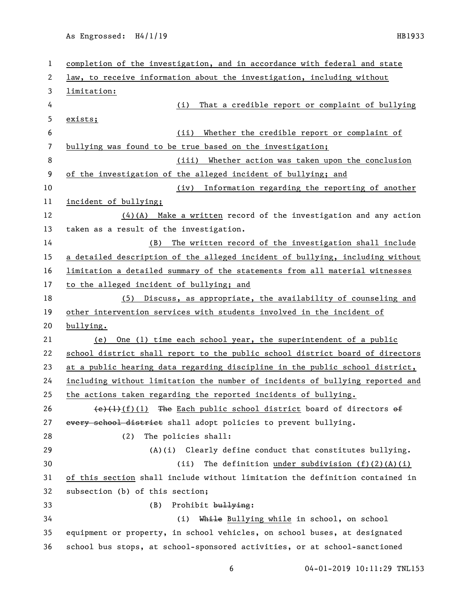As Engrossed: H4/1/19 HB1933

| $\mathbf 1$    | completion of the investigation, and in accordance with federal and state           |
|----------------|-------------------------------------------------------------------------------------|
| 2              | law, to receive information about the investigation, including without              |
| 3              | limitation:                                                                         |
| 4              | That a credible report or complaint of bullying<br>(i)                              |
| 5              | exists;                                                                             |
| 6              | Whether the credible report or complaint of<br>(ii)                                 |
| $\overline{7}$ | bullying was found to be true based on the investigation;                           |
| 8              | (iii) Whether action was taken upon the conclusion                                  |
| 9              | of the investigation of the alleged incident of bullying; and                       |
| 10             | Information regarding the reporting of another<br>(iv)                              |
| 11             | incident of bullying;                                                               |
| 12             | $(4)$ (A) Make a written record of the investigation and any action                 |
| 13             | taken as a result of the investigation.                                             |
| 14             | (B) The written record of the investigation shall include                           |
| 15             | a detailed description of the alleged incident of bullying, including without       |
| 16             | limitation a detailed summary of the statements from all material witnesses         |
| 17             | to the alleged incident of bullying; and                                            |
| 18             | (5) Discuss, as appropriate, the availability of counseling and                     |
|                |                                                                                     |
| 19             | other intervention services with students involved in the incident of               |
| 20             | bullying.                                                                           |
| 21             | One (1) time each school year, the superintendent of a public<br>(e)                |
| 22             | school district shall report to the public school district board of directors       |
| 23             | at a public hearing data regarding discipline in the public school district,        |
| 24             | including without limitation the number of incidents of bullying reported and       |
| 25             | the actions taken regarding the reported incidents of bullying.                     |
| 26             | $\left(\frac{e}{t}\right)(1)$ The Each public school district board of directors of |
| 27             | every school district shall adopt policies to prevent bullying.                     |
| 28             | (2)<br>The policies shall:                                                          |
| 29             | $(A)(i)$ Clearly define conduct that constitutes bullying.                          |
| 30             | The definition under subdivision $(f)(2)(A)(i)$<br>(ii)                             |
| 31             | of this section shall include without limitation the definition contained in        |
| 32             | subsection (b) of this section;                                                     |
| 33             | (B)<br>Prohibit bullying:                                                           |
| 34             | While Bullying while in school, on school<br>(i)                                    |
| 35             | equipment or property, in school vehicles, on school buses, at designated           |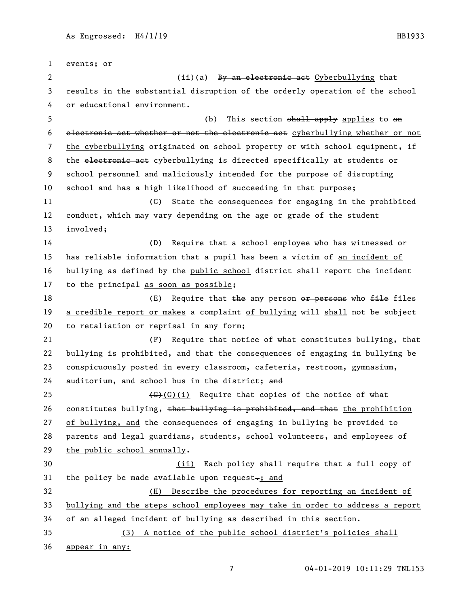events; or 2 (ii)(a) <del>By an electronic act</del> Cyberbullying that results in the substantial disruption of the orderly operation of the school or educational environment. 5 (b) This section <del>shall apply</del> applies to an electronic act whether or not the electronic act cyberbullying whether or not 7 the cyberbullying originated on school property or with school equipment, if 8 the electronic act cyberbullying is directed specifically at students or school personnel and maliciously intended for the purpose of disrupting school and has a high likelihood of succeeding in that purpose; (C) State the consequences for engaging in the prohibited conduct, which may vary depending on the age or grade of the student involved; (D) Require that a school employee who has witnessed or has reliable information that a pupil has been a victim of an incident of bullying as defined by the public school district shall report the incident to the principal as soon as possible; 18 (E) Require that the any person or persons who file files 19 a credible report or makes a complaint of bullying will shall not be subject to retaliation or reprisal in any form; (F) Require that notice of what constitutes bullying, that bullying is prohibited, and that the consequences of engaging in bullying be conspicuously posted in every classroom, cafeteria, restroom, gymnasium, 24 auditorium, and school bus in the district; and  $\left(\frac{G}{G}\right)(i)$  Require that copies of the notice of what 26 constitutes bullying, that bullying is prohibited, and that the prohibition of bullying, and the consequences of engaging in bullying be provided to parents and legal guardians, students, school volunteers, and employees of the public school annually. 30 (ii) Each policy shall require that a full copy of 31 the policy be made available upon request $\texttt{--};$  and (H) Describe the procedures for reporting an incident of bullying and the steps school employees may take in order to address a report of an alleged incident of bullying as described in this section. (3) A notice of the public school district's policies shall appear in any: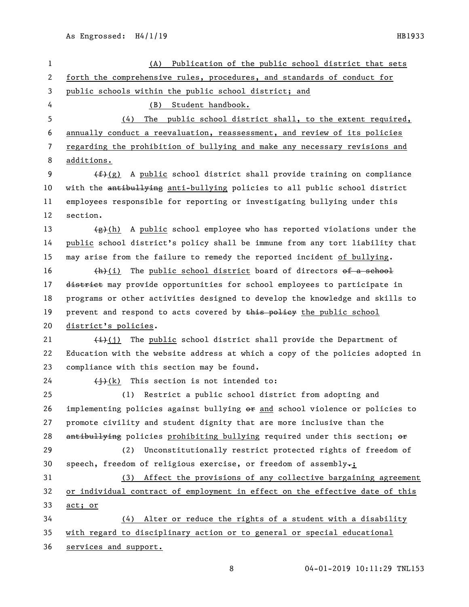| 1  | Publication of the public school district that sets<br>(A)                           |
|----|--------------------------------------------------------------------------------------|
| 2  | forth the comprehensive rules, procedures, and standards of conduct for              |
| 3  | public schools within the public school district; and                                |
| 4  | Student handbook.<br>(B)                                                             |
| 5  | The public school district shall, to the extent required,<br>(4)                     |
| 6  | annually conduct a reevaluation, reassessment, and review of its policies            |
| 7  | regarding the prohibition of bullying and make any necessary revisions and           |
| 8  | additions.                                                                           |
| 9  | $(f2(g)$ A public school district shall provide training on compliance               |
| 10 | with the antibullying anti-bullying policies to all public school district           |
| 11 | employees responsible for reporting or investigating bullying under this             |
| 12 | section.                                                                             |
| 13 | A public school employee who has reported violations under the<br><del>(g)</del> (h) |
| 14 | public school district's policy shall be immune from any tort liability that         |
| 15 | may arise from the failure to remedy the reported incident of bullying.              |
| 16 | $+h$ )(i) The public school district board of directors of a school                  |
| 17 | district may provide opportunities for school employees to participate in            |
| 18 | programs or other activities designed to develop the knowledge and skills to         |
| 19 | prevent and respond to acts covered by this policy the public school                 |
| 20 | district's policies.                                                                 |
| 21 | $\frac{1}{i}$ The public school district shall provide the Department of             |
| 22 | Education with the website address at which a copy of the policies adopted in        |
| 23 | compliance with this section may be found.                                           |
| 24 | $\overline{(+)}$ (k) This section is not intended to:                                |
| 25 | (1) Restrict a public school district from adopting and                              |
| 26 | implementing policies against bullying $\theta$ and school violence or policies to   |
| 27 | promote civility and student dignity that are more inclusive than the                |
| 28 | antibullying policies prohibiting bullying required under this section; or           |
| 29 | Unconstitutionally restrict protected rights of freedom of<br>(2)                    |
| 30 | speech, freedom of religious exercise, or freedom of assembly-;                      |
| 31 | (3) Affect the provisions of any collective bargaining agreement                     |
| 32 | or individual contract of employment in effect on the effective date of this         |
| 33 | act; or                                                                              |
| 34 | (4) Alter or reduce the rights of a student with a disability                        |
| 35 | with regard to disciplinary action or to general or special educational              |
| 36 | services and support.                                                                |
|    |                                                                                      |